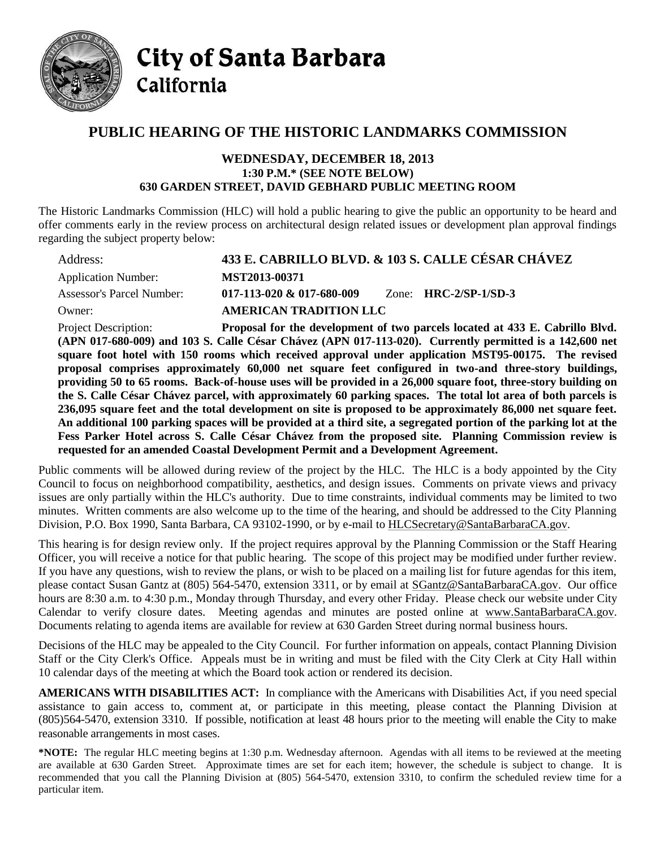

**City of Santa Barbara** California

## **PUBLIC HEARING OF THE HISTORIC LANDMARKS COMMISSION**

## **WEDNESDAY, DECEMBER 18, 2013 1:30 P.M.\* (SEE NOTE BELOW) 630 GARDEN STREET, DAVID GEBHARD PUBLIC MEETING ROOM**

The Historic Landmarks Commission (HLC) will hold a public hearing to give the public an opportunity to be heard and offer comments early in the review process on architectural design related issues or development plan approval findings regarding the subject property below:

| Address:                   |                                                                            | 433 E. CABRILLO BLVD. & 103 S. CALLE CÉSAR CHÁVEZ |
|----------------------------|----------------------------------------------------------------------------|---------------------------------------------------|
| <b>Application Number:</b> | MST2013-00371                                                              |                                                   |
| Assessor's Parcel Number:  | $017 - 113 - 020 \& 017 - 680 - 009$                                       | Zone: $HRC-2/SP-1/SD-3$                           |
| Owner:                     | <b>AMERICAN TRADITION LLC</b>                                              |                                                   |
| Project Description        | <b>Proposal for the development of two parcels located at 433 F. Cabri</b> |                                                   |

Project Description: **Proposal for the development of two parcels located at 433 E. Cabrillo Blvd. (APN 017-680-009) and 103 S. Calle César Chávez (APN 017-113-020). Currently permitted is a 142,600 net square foot hotel with 150 rooms which received approval under application MST95-00175. The revised proposal comprises approximately 60,000 net square feet configured in two-and three-story buildings, providing 50 to 65 rooms. Back-of-house uses will be provided in a 26,000 square foot, three-story building on the S. Calle César Chávez parcel, with approximately 60 parking spaces. The total lot area of both parcels is 236,095 square feet and the total development on site is proposed to be approximately 86,000 net square feet. An additional 100 parking spaces will be provided at a third site, a segregated portion of the parking lot at the Fess Parker Hotel across S. Calle César Chávez from the proposed site. Planning Commission review is requested for an amended Coastal Development Permit and a Development Agreement.**

Public comments will be allowed during review of the project by the HLC. The HLC is a body appointed by the City Council to focus on neighborhood compatibility, aesthetics, and design issues. Comments on private views and privacy issues are only partially within the HLC's authority. Due to time constraints, individual comments may be limited to two minutes. Written comments are also welcome up to the time of the hearing, and should be addressed to the City Planning Division, P.O. Box 1990, Santa Barbara, CA 93102-1990, or by e-mail to **HLCSecretary@SantaBarbaraCA.gov**.

This hearing is for design review only. If the project requires approval by the Planning Commission or the Staff Hearing Officer, you will receive a notice for that public hearing. The scope of this project may be modified under further review. If you have any questions, wish to review the plans, or wish to be placed on a mailing list for future agendas for this item, please contact Susan Gantz at (805) 564-5470, extension 3311, or by email at [SGantz@SantaBarbaraCA.gov.](mailto:SGantz@SantaBarbaraCA.gov) Our office hours are 8:30 a.m. to 4:30 p.m., Monday through Thursday, and every other Friday. Please check our website under City Calendar to verify closure dates. Meeting agendas and minutes are posted online at [www.SantaBarbaraCA.gov.](http://www.santabarbaraca.gov/) Documents relating to agenda items are available for review at 630 Garden Street during normal business hours.

Decisions of the HLC may be appealed to the City Council. For further information on appeals, contact Planning Division Staff or the City Clerk's Office. Appeals must be in writing and must be filed with the City Clerk at City Hall within 10 calendar days of the meeting at which the Board took action or rendered its decision.

**AMERICANS WITH DISABILITIES ACT:** In compliance with the Americans with Disabilities Act, if you need special assistance to gain access to, comment at, or participate in this meeting, please contact the Planning Division at (805)564-5470, extension 3310. If possible, notification at least 48 hours prior to the meeting will enable the City to make reasonable arrangements in most cases.

**\*NOTE:** The regular HLC meeting begins at 1:30 p.m. Wednesday afternoon. Agendas with all items to be reviewed at the meeting are available at 630 Garden Street. Approximate times are set for each item; however, the schedule is subject to change. It is recommended that you call the Planning Division at (805) 564-5470, extension 3310, to confirm the scheduled review time for a particular item.